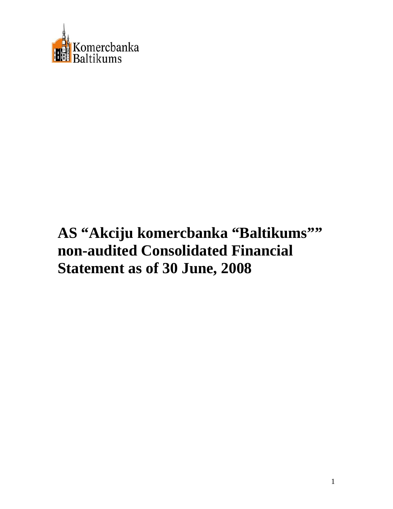

# **AS "Akciju komercbanka "Baltikums"" non-audited Consolidated Financial Statement as of 30 June, 2008**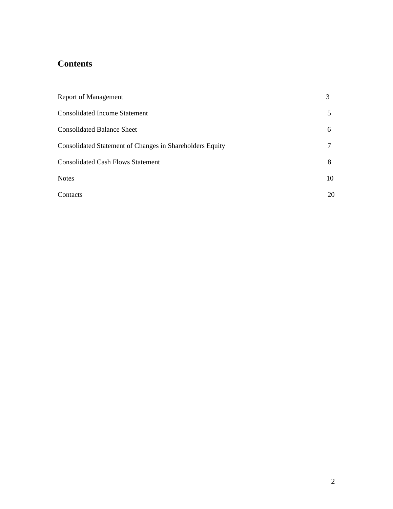# **Contents**

| <b>Report of Management</b>                              | 3  |
|----------------------------------------------------------|----|
| <b>Consolidated Income Statement</b>                     | 5  |
| <b>Consolidated Balance Sheet</b>                        | 6  |
| Consolidated Statement of Changes in Shareholders Equity |    |
| <b>Consolidated Cash Flows Statement</b>                 | 8  |
| <b>Notes</b>                                             | 10 |
| Contacts                                                 | 20 |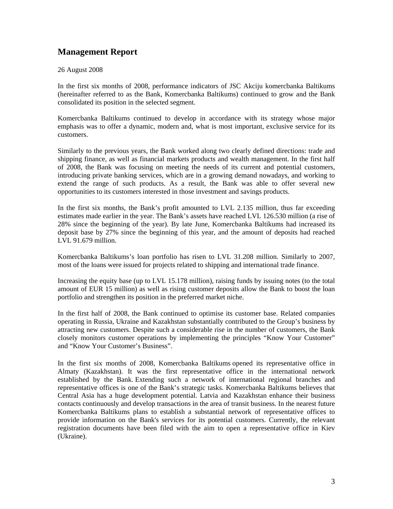# **Management Report**

# 26 August 2008

In the first six months of 2008, performance indicators of JSC Akciju komercbanka Baltikums (hereinafter referred to as the Bank, Komercbanka Baltikums) continued to grow and the Bank consolidated its position in the selected segment.

Komercbanka Baltikums continued to develop in accordance with its strategy whose major emphasis was to offer a dynamic, modern and, what is most important, exclusive service for its customers.

Similarly to the previous years, the Bank worked along two clearly defined directions: trade and shipping finance, as well as financial markets products and wealth management. In the first half of 2008, the Bank was focusing on meeting the needs of its current and potential customers, introducing private banking services, which are in a growing demand nowadays, and working to extend the range of such products. As a result, the Bank was able to offer several new opportunities to its customers interested in those investment and savings products.

In the first six months, the Bank's profit amounted to LVL 2.135 million, thus far exceeding estimates made earlier in the year. The Bank's assets have reached LVL 126.530 million (a rise of 28% since the beginning of the year). By late June, Komercbanka Baltikums had increased its deposit base by 27% since the beginning of this year, and the amount of deposits had reached LVL 91.679 million.

Komercbanka Baltikums's loan portfolio has risen to LVL 31.208 million. Similarly to 2007, most of the loans were issued for projects related to shipping and international trade finance.

Increasing the equity base (up to LVL 15.178 million), raising funds by issuing notes (to the total amount of EUR 15 million) as well as rising customer deposits allow the Bank to boost the loan portfolio and strengthen its position in the preferred market niche.

In the first half of 2008, the Bank continued to optimise its customer base. Related companies operating in Russia, Ukraine and Kazakhstan substantially contributed to the Group's business by attracting new customers. Despite such a considerable rise in the number of customers, the Bank closely monitors customer operations by implementing the principles "Know Your Customer" and "Know Your Customer's Business".

In the first six months of 2008, Komercbanka Baltikums opened its representative office in Almaty (Kazakhstan). It was the first representative office in the international network established by the Bank. Extending such a network of international regional branches and representative offices is one of the Bank's strategic tasks. Komercbanka Baltikums believes that Central Asia has a huge development potential. Latvia and Kazakhstan enhance their business contacts continuously and develop transactions in the area of transit business. In the nearest future Komercbanka Baltikums plans to establish a substantial network of representative offices to provide information on the Bank's services for its potential customers. Currently, the relevant registration documents have been filed with the aim to open a representative office in Kiev (Ukraine).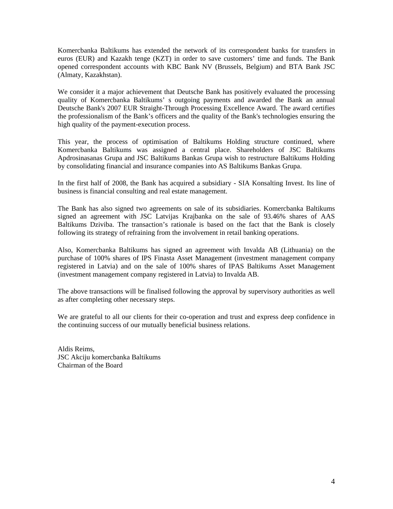Komercbanka Baltikums has extended the network of its correspondent banks for transfers in euros (EUR) and Kazakh tenge (KZT) in order to save customers' time and funds. The Bank opened correspondent accounts with KBC Bank NV (Brussels, Belgium) and BTA Bank JSC (Almaty, Kazakhstan).

We consider it a major achievement that Deutsche Bank has positively evaluated the processing quality of Komercbanka Baltikums' s outgoing payments and awarded the Bank an annual Deutsche Bank's 2007 EUR Straight-Through Processing Excellence Award. The award certifies the professionalism of the Bank's officers and the quality of the Bank's technologies ensuring the high quality of the payment-execution process.

This year, the process of optimisation of Baltikums Holding structure continued, where Komercbanka Baltikums was assigned a central place. Shareholders of JSC Baltikums Apdrosinasanas Grupa and JSC Baltikums Bankas Grupa wish to restructure Baltikums Holding by consolidating financial and insurance companies into AS Baltikums Bankas Grupa.

In the first half of 2008, the Bank has acquired a subsidiary - SIA Konsalting Invest. Its line of business is financial consulting and real estate management.

The Bank has also signed two agreements on sale of its subsidiaries. Komercbanka Baltikums signed an agreement with JSC Latvijas Krajbanka on the sale of 93.46% shares of AAS Baltikums Dziviba. The transaction's rationale is based on the fact that the Bank is closely following its strategy of refraining from the involvement in retail banking operations.

Also, Komercbanka Baltikums has signed an agreement with Invalda AB (Lithuania) on the purchase of 100% shares of IPS Finasta Asset Management (investment management company registered in Latvia) and on the sale of 100% shares of IPAS Baltikums Asset Management (investment management company registered in Latvia) to Invalda AB.

The above transactions will be finalised following the approval by supervisory authorities as well as after completing other necessary steps.

We are grateful to all our clients for their co-operation and trust and express deep confidence in the continuing success of our mutually beneficial business relations.

Aldis Reims, JSC Akciju komercbanka Baltikums Chairman of the Board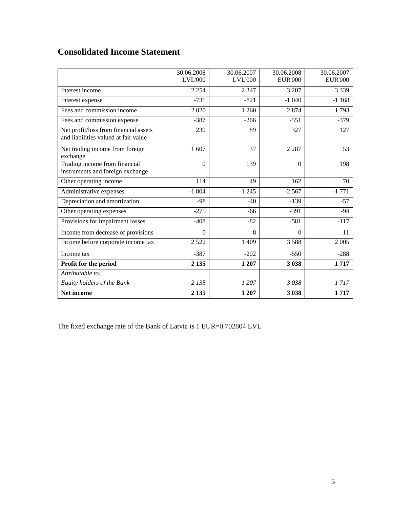# **Consolidated Income Statement**

|                                                                               | 30.06.2008<br><b>LVL'000</b> | 30.06.2007<br><b>LVL'000</b> | 30.06.2008<br><b>EUR'000</b> | 30.06.2007<br><b>EUR'000</b> |
|-------------------------------------------------------------------------------|------------------------------|------------------------------|------------------------------|------------------------------|
| Interest income                                                               | 2 2 5 4                      | 2 3 4 7                      | 3 207                        | 3 3 3 9                      |
| Interest expense                                                              | $-731$                       | $-821$                       | $-1040$                      | $-1168$                      |
| Fees and commission income                                                    | 2020                         | 1 260                        | 2874                         | 1793                         |
| Fees and commission expense                                                   | $-387$                       | $-266$                       | $-551$                       | $-379$                       |
| Net profit/loss from financial assets<br>and liabilities valued at fair value | 230                          | 89                           | 327                          | 127                          |
| Net trading income from foreign<br>exchange                                   | 1 607                        | 37                           | 2 2 8 7                      | 53                           |
| Trading income from financial<br>instruments and foreign exchange             | $\Omega$                     | 139                          | $\Omega$                     | 198                          |
| Other operating income                                                        | 114                          | 49                           | 162                          | 70                           |
| Administrative expenses                                                       | $-1804$                      | $-1245$                      | $-2567$                      | $-1771$                      |
| Depreciation and amortization                                                 | $-98$                        | $-40$                        | $-139$                       | $-57$                        |
| Other operating expenses                                                      | $-275$                       | $-66$                        | $-391$                       | $-94$                        |
| Provisions for impairment losses                                              | $-408$                       | $-82$                        | $-581$                       | $-117$                       |
| Income from decrease of provisions                                            | $\mathbf{0}$                 | 8                            | $\Omega$                     | 11                           |
| Income before corporate income tax                                            | 2 5 2 2                      | 1 4 0 9                      | 3588                         | 2 0 0 5                      |
| Income tax                                                                    | $-387$                       | $-202$                       | $-550$                       | $-288$                       |
| Profit for the period                                                         | 2 1 3 5                      | 1 207                        | 3 0 38                       | 1717                         |
| Attributable to:                                                              |                              |                              |                              |                              |
| Equity holders of the Bank                                                    | 2 1 3 5                      | 1 207                        | 3038                         | 1717                         |
| <b>Net income</b>                                                             | 2 1 3 5                      | 1 207                        | 3 0 38                       | 1717                         |

The fixed exchange rate of the Bank of Latvia is 1 EUR=0.702804 LVL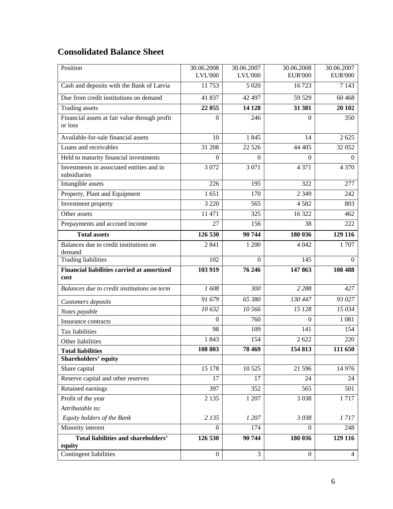# **Consolidated Balance Sheet**

| Position                                                  | 30.06.2008<br><b>LVL'000</b> | 30.06.2007<br><b>LVL'000</b> | 30.06.2008<br><b>EUR'000</b> | 30.06.2007<br><b>EUR'000</b> |
|-----------------------------------------------------------|------------------------------|------------------------------|------------------------------|------------------------------|
| Cash and deposits with the Bank of Latvia                 | 11753                        | 5 0 20                       | 16723                        | 7 1 4 3                      |
| Due from credit institutions on demand                    | 41 837                       | 42 497                       | 59 529                       | 60 4 68                      |
| <b>Trading</b> assets                                     | 22 055                       | 14 128                       | 31 381                       | 20 10 2                      |
| Financial assets at fair value through profit             | $\Omega$                     | 246                          | $\Omega$                     | 350                          |
| or loss                                                   |                              |                              |                              |                              |
| Available-for-sale financial assets                       | 10                           | 1845                         | 14                           | 2 6 2 5                      |
| Loans and receivables                                     | 31 208                       | 22 5 26                      | 44 405                       | 32 052                       |
| Held to maturity financial investments                    | $\Omega$                     | $\overline{0}$               | $\boldsymbol{0}$             | $\overline{0}$               |
| Investments in associated entities and in<br>subsidiaries | 3 0 7 2                      | 3 0 7 1                      | 4 3 7 1                      | 4 3 7 0                      |
| Intangible assets                                         | 226                          | 195                          | 322                          | 277                          |
| Property, Plant and Equipment                             | 1651                         | 170                          | 2 3 4 9                      | 242                          |
| Investment property                                       | 3 2 2 0                      | 565                          | 4582                         | 803                          |
| Other assets                                              | 11 471                       | 325                          | 16 322                       | 462                          |
| Prepayments and accrued income                            | 27                           | 156                          | 38                           | 222                          |
| <b>Total assets</b>                                       | 126 530                      | 90 744                       | 180 036                      | 129 116                      |
| Balances due to credit institutions on<br>demand          | 2 8 4 1                      | 1 200                        | 4 0 4 2                      | 1707                         |
| <b>Trading liabilities</b>                                | 102                          | $\Omega$                     | 145                          | $\Omega$                     |
| <b>Financial liabilities carried at amortized</b><br>cost | 103 919                      | 76 246                       | 147 863                      | 108 488                      |
| Balances due to credit institutions on term               | 1608                         | 300                          | 2 2 8 8                      | 427                          |
| Customers deposits                                        | 91 679                       | 65 380                       | 130 447                      | 93 027                       |
| Notes payable                                             | 10632                        | 10 566                       | 15 128                       | 15 034                       |
| Insurance contracts                                       | $\Omega$                     | 760                          | $\Omega$                     | 1 0 8 1                      |
| Tax liabilities                                           | 98                           | 109                          | 141                          | 154                          |
| Other liabilities                                         | 1843                         | 154                          | 2622                         | 220                          |
| <b>Total liabilities</b>                                  | 108 803                      | 78 4 69                      | 154 813                      | 111 650                      |
| Shareholders' equity                                      |                              |                              |                              |                              |
| Share capital                                             | 15 178                       | 10 5 25                      | 21 596                       | 14 976                       |
| Reserve capital and other reserves                        | 17                           | 17                           | 24                           | 24                           |
| Retained earnings                                         | 397                          | 352                          | 565                          | 501                          |
| Profit of the year                                        | 2 1 3 5                      | 1 207                        | 3 0 38                       | 1717                         |
| Attributable to:                                          |                              |                              |                              |                              |
| Equity holders of the Bank                                | 2 1 3 5                      | 1 207                        | 3038                         | 1717                         |
| Minority interest                                         | $\Omega$                     | 174                          | $\Omega$                     | 248                          |
| <b>Total liabilities and shareholders'</b><br>equity      | 126 530                      | 90 744                       | 180 036                      | 129 116                      |
| Contingent liabilities                                    | $\boldsymbol{0}$             | 3                            | $\boldsymbol{0}$             | $\overline{4}$               |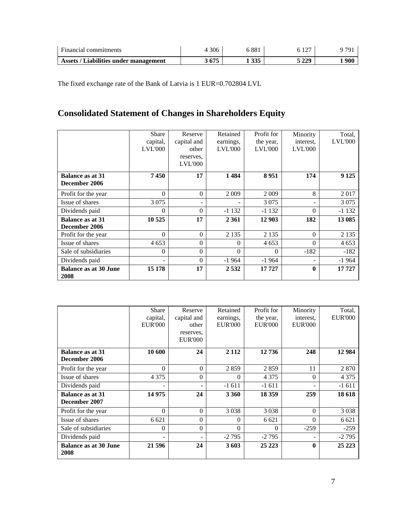| $\mathbf{r}$<br>Financial<br>commitments | 306 | 001<br>. 88. | $\sim$<br>-- |     |
|------------------------------------------|-----|--------------|--------------|-----|
| Liabilities under management             | 67F | 225          | 5 220        | 900 |
| <b>Assets</b>                            | V/J | ູບປະ         | -441         |     |

The fixed exchange rate of the Bank of Latvia is 1 EUR=0.702804 LVL

# **Consolidated Statement of Changes in Shareholders Equity**

|                                          | Share<br>capital,<br><b>LVL'000</b> | Reserve<br>capital and<br>other<br>reserves,<br><b>LVL'000</b> | Retained<br>earnings,<br><b>LVL'000</b> | Profit for<br>the year,<br><b>LVL'000</b> | Minority<br>interest.<br><b>LVL'000</b> | Total,<br><b>LVL'000</b> |
|------------------------------------------|-------------------------------------|----------------------------------------------------------------|-----------------------------------------|-------------------------------------------|-----------------------------------------|--------------------------|
| <b>Balance as at 31</b><br>December 2006 | 7450                                | 17                                                             | 1484                                    | 8951                                      | 174                                     | 9 1 25                   |
| Profit for the year                      | $\Omega$                            | $\Omega$                                                       | 2 0 0 9                                 | 2 0 0 9                                   | 8                                       | 2017                     |
| Issue of shares                          | 3 0 7 5                             |                                                                |                                         | 3 0 7 5                                   |                                         | 3 0 7 5                  |
| Dividends paid                           | $\Omega$                            | $\Omega$                                                       | $-1132$                                 | $-1132$                                   | $\Omega$                                | $-1132$                  |
| <b>Balance as at 31</b><br>December 2006 | 10 525                              | 17                                                             | 2 3 6 1                                 | 12 903                                    | 182                                     | 13 085                   |
| Profit for the year                      | $\Omega$                            | $\Omega$                                                       | 2 1 3 5                                 | 2 1 3 5                                   | $\Omega$                                | 2 1 3 5                  |
| Issue of shares                          | 4 6 5 3                             | $\Omega$                                                       | $\Omega$                                | 4 6 5 3                                   | $\Omega$                                | 4 6 5 3                  |
| Sale of subsidiaries                     | $\Omega$                            | $\Omega$                                                       | $\Omega$                                | $\Omega$                                  | $-182$                                  | $-182$                   |
| Dividends paid                           | ۰                                   | $\Omega$                                                       | $-1964$                                 | -1 964                                    |                                         | $-1964$                  |
| <b>Balance as at 30 June</b><br>2008     | 15 178                              | 17                                                             | 2532                                    | 17727                                     | $\mathbf{0}$                            | 17 727                   |

|                                          | <b>Share</b><br>capital,<br><b>EUR'000</b> | Reserve<br>capital and<br>other<br>reserves,<br><b>EUR'000</b> | Retained<br>earnings,<br><b>EUR'000</b> | Profit for<br>the year,<br><b>EUR'000</b> | Minority<br>interest.<br><b>EUR'000</b> | Total,<br><b>EUR'000</b> |
|------------------------------------------|--------------------------------------------|----------------------------------------------------------------|-----------------------------------------|-------------------------------------------|-----------------------------------------|--------------------------|
| <b>Balance as at 31</b><br>December 2006 | 10 600                                     | 24                                                             | 2 1 1 2                                 | 12736                                     | 248                                     | 12 9 84                  |
| Profit for the year                      | $\theta$                                   | $\Omega$                                                       | 2859                                    | 2859                                      | 11                                      | 2 8 7 0                  |
| Issue of shares                          | 4 3 7 5                                    | $\theta$                                                       | $\Omega$                                | 4 3 7 5                                   | $\theta$                                | 4 3 7 5                  |
| Dividends paid                           | $\overline{\phantom{0}}$                   |                                                                | $-1611$                                 | $-1611$                                   |                                         | $-1611$                  |
| <b>Balance as at 31</b><br>December 2007 | 14 975                                     | 24                                                             | 3 3 6 0                                 | 18 3 59                                   | 259                                     | 18 618                   |
| Profit for the year                      | $\theta$                                   | $\Omega$                                                       | 3 0 3 8                                 | 3 0 3 8                                   | $\Omega$                                | 3 0 3 8                  |
| Issue of shares                          | 6 6 21                                     | $\theta$                                                       | $\Omega$                                | 6 6 2 1                                   | $\Omega$                                | 6 6 2 1                  |
| Sale of subsidiaries                     | $\overline{0}$                             | $\Omega$                                                       | $\theta$                                | $\Omega$                                  | $-259$                                  | $-259$                   |
| Dividends paid                           | $\overline{\phantom{0}}$                   |                                                                | $-2795$                                 | $-2795$                                   |                                         | $-2795$                  |
| <b>Balance as at 30 June</b><br>2008     | 21 596                                     | 24                                                             | 3603                                    | 25 223                                    | $\mathbf{0}$                            | 25 223                   |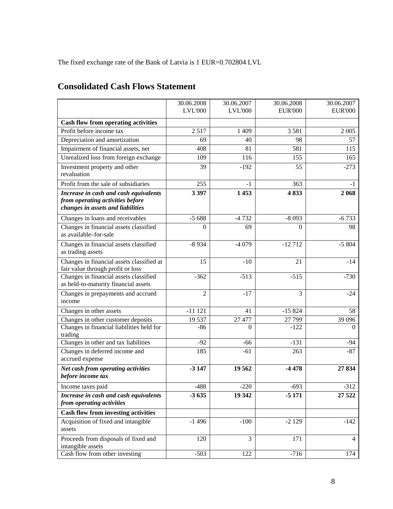The fixed exchange rate of the Bank of Latvia is 1 EUR=0.702804 LVL

|                                                                                                                | 30.06.2008     | 30.06.2007     | 30.06.2008     | 30.06.2007     |
|----------------------------------------------------------------------------------------------------------------|----------------|----------------|----------------|----------------|
|                                                                                                                | <b>LVL'000</b> | <b>LVL'000</b> | <b>EUR'000</b> | <b>EUR'000</b> |
| <b>Cash flow from operating activities</b>                                                                     |                |                |                |                |
| Profit before income tax                                                                                       | 2517           | 1 409          | 3581           | 2 0 0 5        |
| Depreciation and amortization                                                                                  | 69             | 40             | 98             | 57             |
| Impairment of financial assets, net                                                                            | 408            | 81             | 581            | 115            |
| Unrealized loss from foreign exchange                                                                          | 109            | 116            | 155            | 165            |
| Investment property and other<br>revaluation                                                                   | 39             | $-192$         | 55             | $-273$         |
| Profit from the sale of subsidiaries                                                                           | 255            | $-1$           | 363            | -1             |
| Increase in cash and cash equivalents<br>from operating activities before<br>changes in assets and liabilities | 3 3 9 7        | 1453           | 4833           | 2 0 6 8        |
| Changes in loans and receivables                                                                               | $-5688$        | $-4732$        | $-8093$        | $-6733$        |
| Changes in financial assets classified<br>as available-for-sale                                                | $\Omega$       | 69             | $\Omega$       | 98             |
| Changes in financial assets classified<br>as trading assets                                                    | $-8934$        | $-4079$        | $-12712$       | $-5804$        |
| Changes in financial assets classified at<br>fair value through profit or loss                                 | 15             | $-10$          | 21             | $-14$          |
| Changes in financial assets classified<br>as held-to-maturity financial assets                                 | $-362$         | $-513$         | $-515$         | $-730$         |
| Changes in prepayments and accrued<br>income                                                                   | $\overline{2}$ | $-17$          | 3              | $-24$          |
| Changes in other assets                                                                                        | $-11121$       | 41             | $-15824$       | 58             |
| Changes in other customer deposits                                                                             | 19537          | 27 477         | 27 799         | 39 0 96        |
| Changes in financial liabilities held for<br>trading                                                           | $-86$          | 0              | $-122$         | $\Omega$       |
| Changes in other and tax liabilities                                                                           | $-92$          | $-66$          | $-131$         | $-94$          |
| Changes in deferred income and<br>accrued expense                                                              | 185            | $-61$          | 263            | $-87$          |
| Net cash from operating activities<br>before income tax                                                        | $-3147$        | 19562          | $-4478$        | 27834          |
| Income taxes paid                                                                                              | 488            | 220            | 693            | 312            |
| Increase in cash and cash equivalents                                                                          | $-3635$        | 19 342         | $-5171$        | 27 5 22        |
| from operating activities                                                                                      |                |                |                |                |
| <b>Cash flow from investing activities</b>                                                                     |                |                |                |                |
| Acquisition of fixed and intangible<br>assets                                                                  | $-1496$        | $-100$         | $-2129$        | $-142$         |
| Proceeds from disposals of fixed and<br>intangible assets                                                      | 120            | 3              | 171            | 4              |
| Cash flow from other investing                                                                                 | $-503$         | 122            | $-716$         | 174            |

# **Consolidated Cash Flows Statement**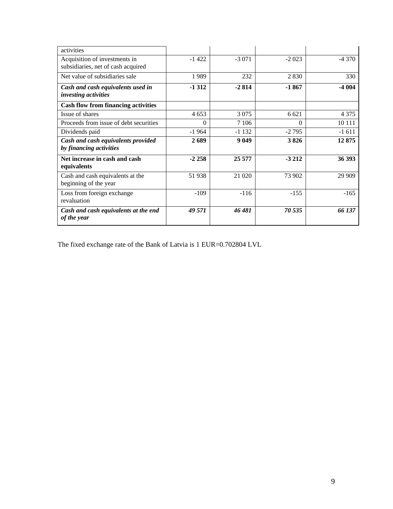| activities                                                          |          |         |         |         |
|---------------------------------------------------------------------|----------|---------|---------|---------|
| Acquisition of investments in<br>subsidiaries, net of cash acquired | $-1422$  | $-3071$ | $-2023$ | $-4370$ |
| Net value of subsidiaries sale                                      | 1989     | 232     | 2830    | 330     |
| Cash and cash equivalents used in<br>investing activities           | $-1312$  | $-2814$ | $-1867$ | $-4004$ |
| <b>Cash flow from financing activities</b>                          |          |         |         |         |
| Issue of shares                                                     | 4 6 5 3  | 3 0 7 5 | 6 6 21  | 4 3 7 5 |
| Proceeds from issue of debt securities                              | $\Omega$ | 7 1 0 6 | 0       | 10 11 1 |
| Dividends paid                                                      | $-1964$  | $-1132$ | $-2795$ | $-1611$ |
| Cash and cash equivalents provided<br>by financing activities       | 2689     | 9 0 4 9 | 3826    | 12875   |
| Net increase in cash and cash<br>equivalents                        | $-2258$  | 25 577  | $-3212$ | 36 393  |
| Cash and cash equivalents at the<br>beginning of the year           | 51938    | 21 0 20 | 73 902  | 29 909  |
| Loss from foreign exchange<br>revaluation                           | $-109$   | $-116$  | $-155$  | $-165$  |
| Cash and cash equivalents at the end<br>of the year                 | 49 571   | 46 481  | 70 535  | 66 137  |

The fixed exchange rate of the Bank of Latvia is 1 EUR=0.702804 LVL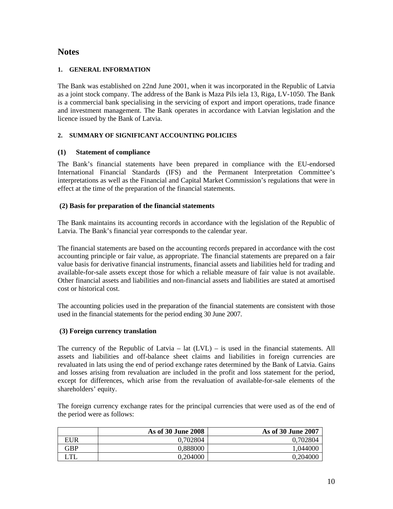# **Notes**

# **1. GENERAL INFORMATION**

The Bank was established on 22nd June 2001, when it was incorporated in the Republic of Latvia as a joint stock company. The address of the Bank is Maza Pils iela 13, Riga, LV-1050. The Bank is a commercial bank specialising in the servicing of export and import operations, trade finance and investment management. The Bank operates in accordance with Latvian legislation and the licence issued by the Bank of Latvia.

# **2. SUMMARY OF SIGNIFICANT ACCOUNTING POLICIES**

# **(1) Statement of compliance**

The Bank's financial statements have been prepared in compliance with the EU-endorsed International Financial Standards (IFS) and the Permanent Interpretation Committee's interpretations as well as the Financial and Capital Market Commission's regulations that were in effect at the time of the preparation of the financial statements.

# **(2) Basis for preparation of the financial statements**

The Bank maintains its accounting records in accordance with the legislation of the Republic of Latvia. The Bank's financial year corresponds to the calendar year.

The financial statements are based on the accounting records prepared in accordance with the cost accounting principle or fair value, as appropriate. The financial statements are prepared on a fair value basis for derivative financial instruments, financial assets and liabilities held for trading and available-for-sale assets except those for which a reliable measure of fair value is not available. Other financial assets and liabilities and non-financial assets and liabilities are stated at amortised cost or historical cost.

The accounting policies used in the preparation of the financial statements are consistent with those used in the financial statements for the period ending 30 June 2007.

# **(3) Foreign currency translation**

The currency of the Republic of Latvia – lat (LVL) – is used in the financial statements. All assets and liabilities and off-balance sheet claims and liabilities in foreign currencies are revaluated in lats using the end of period exchange rates determined by the Bank of Latvia. Gains and losses arising from revaluation are included in the profit and loss statement for the period, except for differences, which arise from the revaluation of available-for-sale elements of the shareholders' equity.

The foreign currency exchange rates for the principal currencies that were used as of the end of the period were as follows:

|     | As of 30 June 2008 | As of 30 June 2007 |
|-----|--------------------|--------------------|
| EUR | 0,702804           | 0,702804           |
| GBP | 0,888000           | 1.044000           |
| .TL | 0,204000           | 0,204000           |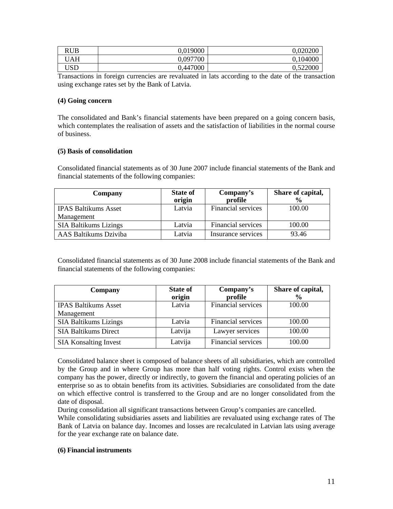| RUB | 0,019000 | 0,020200 |
|-----|----------|----------|
| ΓAΗ | 0,097700 | 0,104000 |
| USD | 0,447000 | 0,522000 |

Transactions in foreign currencies are revaluated in lats according to the date of the transaction using exchange rates set by the Bank of Latvia.

### **(4) Going concern**

The consolidated and Bank's financial statements have been prepared on a going concern basis, which contemplates the realisation of assets and the satisfaction of liabilities in the normal course of business.

# **(5) Basis of consolidation**

Consolidated financial statements as of 30 June 2007 include financial statements of the Bank and financial statements of the following companies:

| Company                      | <b>State of</b><br>origin | Company's<br>profile | Share of capital,<br>$\frac{0}{0}$ |
|------------------------------|---------------------------|----------------------|------------------------------------|
| <b>IPAS Baltikums Asset</b>  | Latvia                    | Financial services   | 100.00                             |
| Management                   |                           |                      |                                    |
| <b>SIA Baltikums Lizings</b> | Latvia                    | Financial services   | 100.00                             |
| AAS Baltikums Dziviba        | Latvia                    | Insurance services   | 93.46                              |

Consolidated financial statements as of 30 June 2008 include financial statements of the Bank and financial statements of the following companies:

| Company                      | <b>State of</b><br>origin | Company's<br>profile | Share of capital,<br>$\frac{0}{0}$ |
|------------------------------|---------------------------|----------------------|------------------------------------|
| <b>IPAS Baltikums Asset</b>  | Latvia                    | Financial services   | 100.00                             |
| Management                   |                           |                      |                                    |
| <b>SIA Baltikums Lizings</b> | Latvia                    | Financial services   | 100.00                             |
| <b>SIA Baltikums Direct</b>  | Latvija                   | Lawyer services      | 100.00                             |
| <b>SIA Konsalting Invest</b> | Latvija                   | Financial services   | 100.00                             |

Consolidated balance sheet is composed of balance sheets of all subsidiaries, which are controlled by the Group and in where Group has more than half voting rights. Control exists when the company has the power, directly or indirectly, to govern the financial and operating policies of an enterprise so as to obtain benefits from its activities. Subsidiaries are consolidated from the date on which effective control is transferred to the Group and are no longer consolidated from the date of disposal.

During consolidation all significant transactions between Group's companies are cancelled.

While consolidating subsidiaries assets and liabilities are revaluated using exchange rates of The Bank of Latvia on balance day. Incomes and losses are recalculated in Latvian lats using average for the year exchange rate on balance date.

# **(6) Financial instruments**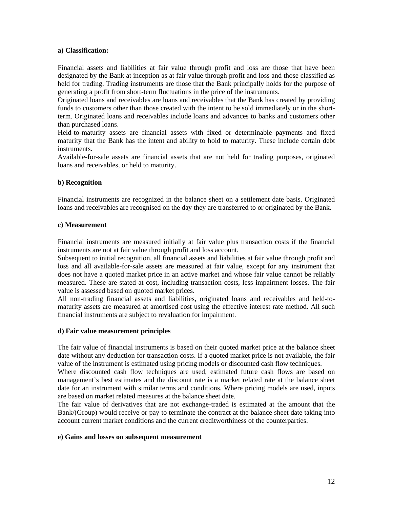### **a) Classification:**

Financial assets and liabilities at fair value through profit and loss are those that have been designated by the Bank at inception as at fair value through profit and loss and those classified as held for trading. Trading instruments are those that the Bank principally holds for the purpose of generating a profit from short-term fluctuations in the price of the instruments.

Originated loans and receivables are loans and receivables that the Bank has created by providing funds to customers other than those created with the intent to be sold immediately or in the shortterm. Originated loans and receivables include loans and advances to banks and customers other than purchased loans.

Held-to-maturity assets are financial assets with fixed or determinable payments and fixed maturity that the Bank has the intent and ability to hold to maturity. These include certain debt instruments.

Available-for-sale assets are financial assets that are not held for trading purposes, originated loans and receivables, or held to maturity.

#### **b) Recognition**

Financial instruments are recognized in the balance sheet on a settlement date basis. Originated loans and receivables are recognised on the day they are transferred to or originated by the Bank.

#### **c) Measurement**

Financial instruments are measured initially at fair value plus transaction costs if the financial instruments are not at fair value through profit and loss account.

Subsequent to initial recognition, all financial assets and liabilities at fair value through profit and loss and all available-for-sale assets are measured at fair value, except for any instrument that does not have a quoted market price in an active market and whose fair value cannot be reliably measured. These are stated at cost, including transaction costs, less impairment losses. The fair value is assessed based on quoted market prices.

All non-trading financial assets and liabilities, originated loans and receivables and held-tomaturity assets are measured at amortised cost using the effective interest rate method. All such financial instruments are subject to revaluation for impairment.

#### **d) Fair value measurement principles**

The fair value of financial instruments is based on their quoted market price at the balance sheet date without any deduction for transaction costs. If a quoted market price is not available, the fair value of the instrument is estimated using pricing models or discounted cash flow techniques.

Where discounted cash flow techniques are used, estimated future cash flows are based on management's best estimates and the discount rate is a market related rate at the balance sheet date for an instrument with similar terms and conditions. Where pricing models are used, inputs are based on market related measures at the balance sheet date.

The fair value of derivatives that are not exchange-traded is estimated at the amount that the Bank/(Group) would receive or pay to terminate the contract at the balance sheet date taking into account current market conditions and the current creditworthiness of the counterparties.

#### **e) Gains and losses on subsequent measurement**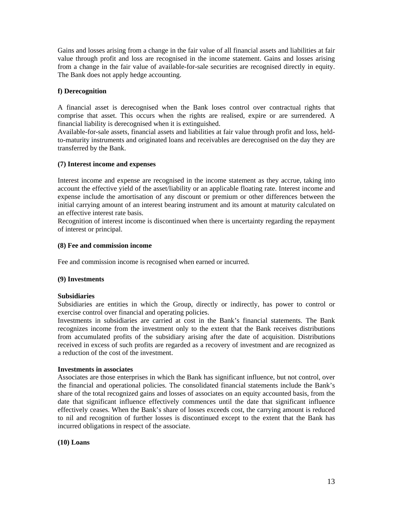Gains and losses arising from a change in the fair value of all financial assets and liabilities at fair value through profit and loss are recognised in the income statement. Gains and losses arising from a change in the fair value of available-for-sale securities are recognised directly in equity. The Bank does not apply hedge accounting.

# **f) Derecognition**

A financial asset is derecognised when the Bank loses control over contractual rights that comprise that asset. This occurs when the rights are realised, expire or are surrendered. A financial liability is derecognised when it is extinguished.

Available-for-sale assets, financial assets and liabilities at fair value through profit and loss, heldto-maturity instruments and originated loans and receivables are derecognised on the day they are transferred by the Bank.

#### **(7) Interest income and expenses**

Interest income and expense are recognised in the income statement as they accrue, taking into account the effective yield of the asset/liability or an applicable floating rate. Interest income and expense include the amortisation of any discount or premium or other differences between the initial carrying amount of an interest bearing instrument and its amount at maturity calculated on an effective interest rate basis.

Recognition of interest income is discontinued when there is uncertainty regarding the repayment of interest or principal.

#### **(8) Fee and commission income**

Fee and commission income is recognised when earned or incurred.

#### **(9) Investments**

#### **Subsidiaries**

Subsidiaries are entities in which the Group, directly or indirectly, has power to control or exercise control over financial and operating policies.

Investments in subsidiaries are carried at cost in the Bank's financial statements. The Bank recognizes income from the investment only to the extent that the Bank receives distributions from accumulated profits of the subsidiary arising after the date of acquisition. Distributions received in excess of such profits are regarded as a recovery of investment and are recognized as a reduction of the cost of the investment.

#### **Investments in associates**

Associates are those enterprises in which the Bank has significant influence, but not control, over the financial and operational policies. The consolidated financial statements include the Bank's share of the total recognized gains and losses of associates on an equity accounted basis, from the date that significant influence effectively commences until the date that significant influence effectively ceases. When the Bank's share of losses exceeds cost, the carrying amount is reduced to nil and recognition of further losses is discontinued except to the extent that the Bank has incurred obligations in respect of the associate.

#### **(10) Loans**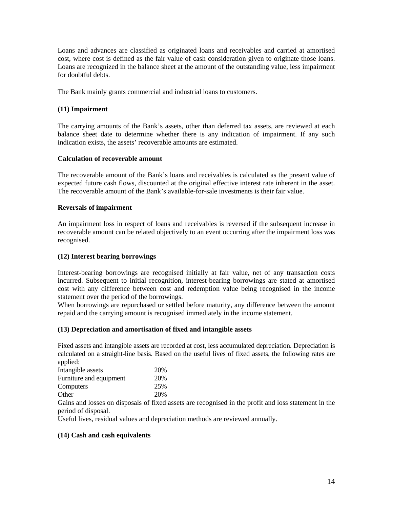Loans and advances are classified as originated loans and receivables and carried at amortised cost, where cost is defined as the fair value of cash consideration given to originate those loans. Loans are recognized in the balance sheet at the amount of the outstanding value, less impairment for doubtful debts.

The Bank mainly grants commercial and industrial loans to customers.

### **(11) Impairment**

The carrying amounts of the Bank's assets, other than deferred tax assets, are reviewed at each balance sheet date to determine whether there is any indication of impairment. If any such indication exists, the assets' recoverable amounts are estimated.

# **Calculation of recoverable amount**

The recoverable amount of the Bank's loans and receivables is calculated as the present value of expected future cash flows, discounted at the original effective interest rate inherent in the asset. The recoverable amount of the Bank's available-for-sale investments is their fair value.

#### **Reversals of impairment**

An impairment loss in respect of loans and receivables is reversed if the subsequent increase in recoverable amount can be related objectively to an event occurring after the impairment loss was recognised.

### **(12) Interest bearing borrowings**

Interest-bearing borrowings are recognised initially at fair value, net of any transaction costs incurred. Subsequent to initial recognition, interest-bearing borrowings are stated at amortised cost with any difference between cost and redemption value being recognised in the income statement over the period of the borrowings.

When borrowings are repurchased or settled before maturity, any difference between the amount repaid and the carrying amount is recognised immediately in the income statement.

#### **(13) Depreciation and amortisation of fixed and intangible assets**

Fixed assets and intangible assets are recorded at cost, less accumulated depreciation. Depreciation is calculated on a straight-line basis. Based on the useful lives of fixed assets, the following rates are applied:

| 20% |
|-----|
| 20% |
| 25% |
| 20% |
|     |

Gains and losses on disposals of fixed assets are recognised in the profit and loss statement in the period of disposal.

Useful lives, residual values and depreciation methods are reviewed annually.

#### **(14) Cash and cash equivalents**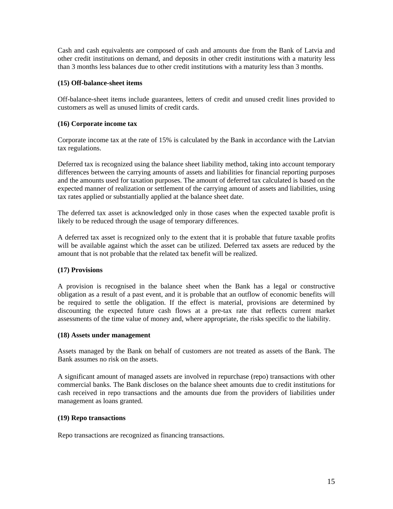Cash and cash equivalents are composed of cash and amounts due from the Bank of Latvia and other credit institutions on demand, and deposits in other credit institutions with a maturity less than 3 months less balances due to other credit institutions with a maturity less than 3 months.

# **(15) Off-balance-sheet items**

Off-balance-sheet items include guarantees, letters of credit and unused credit lines provided to customers as well as unused limits of credit cards.

#### **(16) Corporate income tax**

Corporate income tax at the rate of 15% is calculated by the Bank in accordance with the Latvian tax regulations.

Deferred tax is recognized using the balance sheet liability method, taking into account temporary differences between the carrying amounts of assets and liabilities for financial reporting purposes and the amounts used for taxation purposes. The amount of deferred tax calculated is based on the expected manner of realization or settlement of the carrying amount of assets and liabilities, using tax rates applied or substantially applied at the balance sheet date.

The deferred tax asset is acknowledged only in those cases when the expected taxable profit is likely to be reduced through the usage of temporary differences.

A deferred tax asset is recognized only to the extent that it is probable that future taxable profits will be available against which the asset can be utilized. Deferred tax assets are reduced by the amount that is not probable that the related tax benefit will be realized.

#### **(17) Provisions**

A provision is recognised in the balance sheet when the Bank has a legal or constructive obligation as a result of a past event, and it is probable that an outflow of economic benefits will be required to settle the obligation. If the effect is material, provisions are determined by discounting the expected future cash flows at a pre-tax rate that reflects current market assessments of the time value of money and, where appropriate, the risks specific to the liability.

### **(18) Assets under management**

Assets managed by the Bank on behalf of customers are not treated as assets of the Bank. The Bank assumes no risk on the assets.

A significant amount of managed assets are involved in repurchase (repo) transactions with other commercial banks. The Bank discloses on the balance sheet amounts due to credit institutions for cash received in repo transactions and the amounts due from the providers of liabilities under management as loans granted.

# **(19) Repo transactions**

Repo transactions are recognized as financing transactions.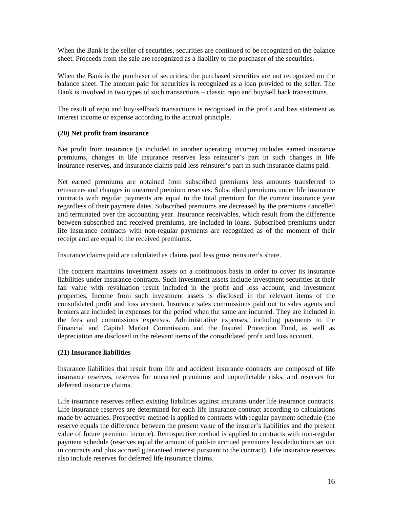When the Bank is the seller of securities, securities are continued to be recognized on the balance sheet. Proceeds from the sale are recognized as a liability to the purchaser of the securities.

When the Bank is the purchaser of securities, the purchased securities are not recognized on the balance sheet. The amount paid for securities is recognized as a loan provided to the seller. The Bank is involved in two types of such transactions – classic repo and buy/sell back transactions.

The result of repo and buy/sellback transactions is recognized in the profit and loss statement as interest income or expense according to the accrual principle.

# **(20) Net profit from insurance**

Net profit from insurance (is included in another operating income) includes earned insurance premiums, changes in life insurance reserves less reinsurer's part in such changes in life insurance reserves, and insurance claims paid less reinsurer's part in such insurance claims paid.

Net earned premiums are obtained from subscribed premiums less amounts transferred to reinsurers and changes in unearned premium reserves. Subscribed premiums under life insurance contracts with regular payments are equal to the total premium for the current insurance year regardless of their payment dates. Subscribed premiums are decreased by the premiums cancelled and terminated over the accounting year. Insurance receivables, which result from the difference between subscribed and received premiums, are included in loans. Subscribed premiums under life insurance contracts with non-regular payments are recognized as of the moment of their receipt and are equal to the received premiums.

Insurance claims paid are calculated as claims paid less gross reinsurer's share.

The concern maintains investment assets on a continuous basis in order to cover its insurance liabilities under insurance contracts. Such investment assets include investment securities at their fair value with revaluation result included in the profit and loss account, and investment properties. Income from such investment assets is disclosed in the relevant items of the consolidated profit and loss account. Insurance sales commissions paid out to sales agents and brokers are included in expenses for the period when the same are incurred. They are included in the fees and commissions expenses. Administrative expenses, including payments to the Financial and Capital Market Commission and the Insured Protection Fund, as well as depreciation are disclosed in the relevant items of the consolidated profit and loss account.

#### **(21) Insurance liabilities**

Insurance liabilities that result from life and accident insurance contracts are composed of life insurance reserves, reserves for unearned premiums and unpredictable risks, and reserves for deferred insurance claims.

Life insurance reserves reflect existing liabilities against insurants under life insurance contracts. Life insurance reserves are determined for each life insurance contract according to calculations made by actuaries. Prospective method is applied to contracts with regular payment schedule (the reserve equals the difference between the present value of the insurer's liabilities and the present value of future premium income). Retrospective method is applied to contracts with non-regular payment schedule (reserves equal the amount of paid-in accrued premiums less deductions set out in contracts and plus accrued guaranteed interest pursuant to the contract). Life insurance reserves also include reserves for deferred life insurance claims.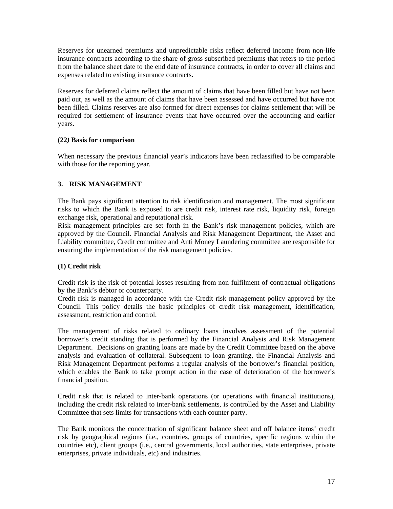Reserves for unearned premiums and unpredictable risks reflect deferred income from non-life insurance contracts according to the share of gross subscribed premiums that refers to the period from the balance sheet date to the end date of insurance contracts, in order to cover all claims and expenses related to existing insurance contracts.

Reserves for deferred claims reflect the amount of claims that have been filled but have not been paid out, as well as the amount of claims that have been assessed and have occurred but have not been filled. Claims reserves are also formed for direct expenses for claims settlement that will be required for settlement of insurance events that have occurred over the accounting and earlier years.

# **(22***)* **Basis for comparison**

When necessary the previous financial year's indicators have been reclassified to be comparable with those for the reporting year.

# **3. RISK MANAGEMENT**

The Bank pays significant attention to risk identification and management. The most significant risks to which the Bank is exposed to are credit risk, interest rate risk, liquidity risk, foreign exchange risk, operational and reputational risk.

Risk management principles are set forth in the Bank's risk management policies, which are approved by the Council. Financial Analysis and Risk Management Department, the Asset and Liability committee, Credit committee and Anti Money Laundering committee are responsible for ensuring the implementation of the risk management policies.

# **(1) Credit risk**

Credit risk is the risk of potential losses resulting from non-fulfilment of contractual obligations by the Bank's debtor or counterparty.

Credit risk is managed in accordance with the Credit risk management policy approved by the Council. This policy details the basic principles of credit risk management, identification, assessment, restriction and control.

The management of risks related to ordinary loans involves assessment of the potential borrower's credit standing that is performed by the Financial Analysis and Risk Management Department. Decisions on granting loans are made by the Credit Committee based on the above analysis and evaluation of collateral. Subsequent to loan granting, the Financial Analysis and Risk Management Department performs a regular analysis of the borrower's financial position, which enables the Bank to take prompt action in the case of deterioration of the borrower's financial position.

Credit risk that is related to inter-bank operations (or operations with financial institutions), including the credit risk related to inter-bank settlements, is controlled by the Asset and Liability Committee that sets limits for transactions with each counter party.

The Bank monitors the concentration of significant balance sheet and off balance items' credit risk by geographical regions (i.e., countries, groups of countries, specific regions within the countries etc), client groups (i.e., central governments, local authorities, state enterprises, private enterprises, private individuals, etc) and industries.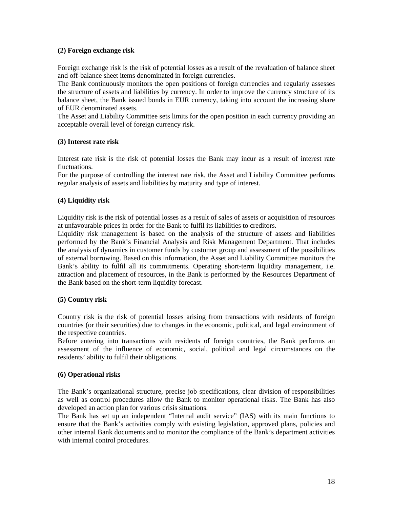# **(2) Foreign exchange risk**

Foreign exchange risk is the risk of potential losses as a result of the revaluation of balance sheet and off-balance sheet items denominated in foreign currencies.

The Bank continuously monitors the open positions of foreign currencies and regularly assesses the structure of assets and liabilities by currency. In order to improve the currency structure of its balance sheet, the Bank issued bonds in EUR currency, taking into account the increasing share of EUR denominated assets.

The Asset and Liability Committee sets limits for the open position in each currency providing an acceptable overall level of foreign currency risk.

# **(3) Interest rate risk**

Interest rate risk is the risk of potential losses the Bank may incur as a result of interest rate fluctuations.

For the purpose of controlling the interest rate risk, the Asset and Liability Committee performs regular analysis of assets and liabilities by maturity and type of interest.

# **(4) Liquidity risk**

Liquidity risk is the risk of potential losses as a result of sales of assets or acquisition of resources at unfavourable prices in order for the Bank to fulfil its liabilities to creditors.

Liquidity risk management is based on the analysis of the structure of assets and liabilities performed by the Bank's Financial Analysis and Risk Management Department. That includes the analysis of dynamics in customer funds by customer group and assessment of the possibilities of external borrowing. Based on this information, the Asset and Liability Committee monitors the Bank's ability to fulfil all its commitments. Operating short-term liquidity management, i.e. attraction and placement of resources, in the Bank is performed by the Resources Department of the Bank based on the short-term liquidity forecast.

# **(5) Country risk**

Country risk is the risk of potential losses arising from transactions with residents of foreign countries (or their securities) due to changes in the economic, political, and legal environment of the respective countries.

Before entering into transactions with residents of foreign countries, the Bank performs an assessment of the influence of economic, social, political and legal circumstances on the residents' ability to fulfil their obligations.

# **(6) Operational risks**

The Bank's organizational structure, precise job specifications, clear division of responsibilities as well as control procedures allow the Bank to monitor operational risks. The Bank has also developed an action plan for various crisis situations.

The Bank has set up an independent "Internal audit service" (IAS) with its main functions to ensure that the Bank's activities comply with existing legislation, approved plans, policies and other internal Bank documents and to monitor the compliance of the Bank's department activities with internal control procedures.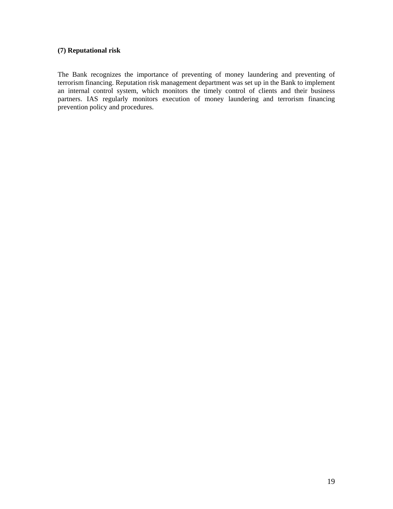# **(7) Reputational risk**

The Bank recognizes the importance of preventing of money laundering and preventing of terrorism financing. Reputation risk management department was set up in the Bank to implement an internal control system, which monitors the timely control of clients and their business partners. IAS regularly monitors execution of money laundering and terrorism financing prevention policy and procedures.